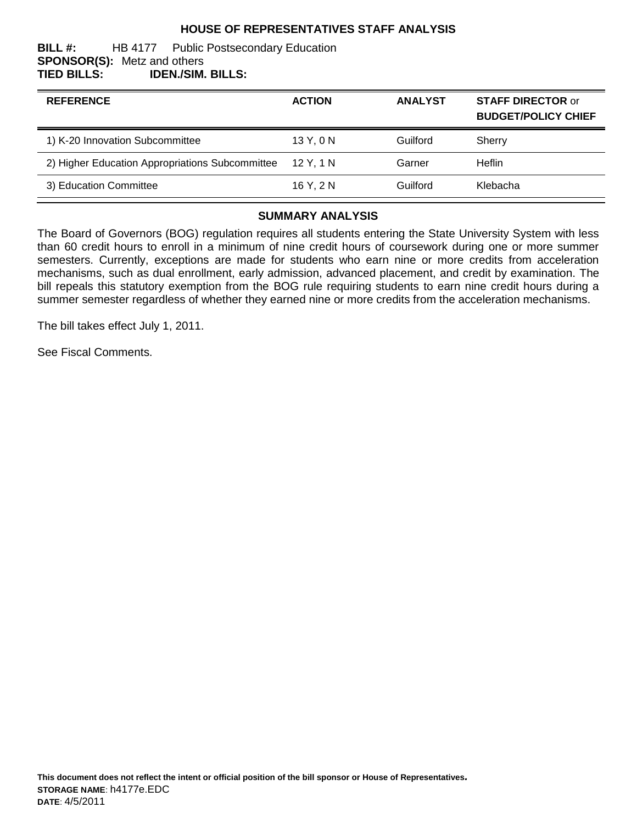## **HOUSE OF REPRESENTATIVES STAFF ANALYSIS**

#### **BILL #:** HB 4177 Public Postsecondary Education **SPONSOR(S):** Metz and others **TIED BILLS: IDEN./SIM. BILLS:**

| <b>REFERENCE</b>                                | <b>ACTION</b> | <b>ANALYST</b> | <b>STAFF DIRECTOR or</b><br><b>BUDGET/POLICY CHIEF</b> |
|-------------------------------------------------|---------------|----------------|--------------------------------------------------------|
| 1) K-20 Innovation Subcommittee                 | 13Y, 0N       | Guilford       | Sherry                                                 |
| 2) Higher Education Appropriations Subcommittee | 12 Y. 1 N     | Garner         | <b>Heflin</b>                                          |
| 3) Education Committee                          | 16 Y. 2 N     | Guilford       | Klebacha                                               |

#### **SUMMARY ANALYSIS**

The Board of Governors (BOG) regulation requires all students entering the State University System with less than 60 credit hours to enroll in a minimum of nine credit hours of coursework during one or more summer semesters. Currently, exceptions are made for students who earn nine or more credits from acceleration mechanisms, such as dual enrollment, early admission, advanced placement, and credit by examination. The bill repeals this statutory exemption from the BOG rule requiring students to earn nine credit hours during a summer semester regardless of whether they earned nine or more credits from the acceleration mechanisms.

The bill takes effect July 1, 2011.

See Fiscal Comments.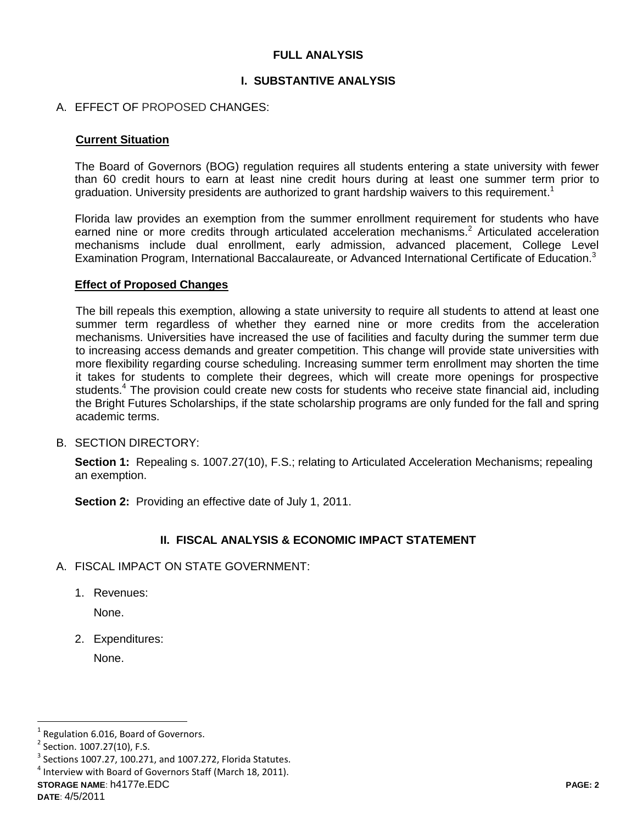## **FULL ANALYSIS**

### **I. SUBSTANTIVE ANALYSIS**

### A. EFFECT OF PROPOSED CHANGES:

#### **Current Situation**

The Board of Governors (BOG) regulation requires all students entering a state university with fewer than 60 credit hours to earn at least nine credit hours during at least one summer term prior to graduation. University presidents are authorized to grant hardship waivers to this requirement.<sup>1</sup>

Florida law provides an exemption from the summer enrollment requirement for students who have earned nine or more credits through articulated acceleration mechanisms.<sup>2</sup> Articulated acceleration mechanisms include dual enrollment, early admission, advanced placement, College Level Examination Program, International Baccalaureate, or Advanced International Certificate of Education.<sup>3</sup>

#### **Effect of Proposed Changes**

The bill repeals this exemption, allowing a state university to require all students to attend at least one summer term regardless of whether they earned nine or more credits from the acceleration mechanisms. Universities have increased the use of facilities and faculty during the summer term due to increasing access demands and greater competition. This change will provide state universities with more flexibility regarding course scheduling. Increasing summer term enrollment may shorten the time it takes for students to complete their degrees, which will create more openings for prospective students.<sup>4</sup> The provision could create new costs for students who receive state financial aid, including the Bright Futures Scholarships, if the state scholarship programs are only funded for the fall and spring academic terms.

B. SECTION DIRECTORY:

**Section 1:** Repealing s. 1007.27(10), F.S.; relating to Articulated Acceleration Mechanisms; repealing an exemption.

**Section 2:** Providing an effective date of July 1, 2011.

# **II. FISCAL ANALYSIS & ECONOMIC IMPACT STATEMENT**

- A. FISCAL IMPACT ON STATE GOVERNMENT:
	- 1. Revenues:

None.

2. Expenditures:

None.

**STORAGE NAME**: h4177e.EDC **PAGE: 2**

 $\overline{a}$ 

<sup>1</sup> Regulation 6.016, Board of Governors.

<sup>&</sup>lt;sup>2</sup> Section. 1007.27(10), F.S.

 $3$  Sections 1007.27, 100.271, and 1007.272, Florida Statutes.

 $<sup>4</sup>$  Interview with Board of Governors Staff (March 18, 2011).</sup>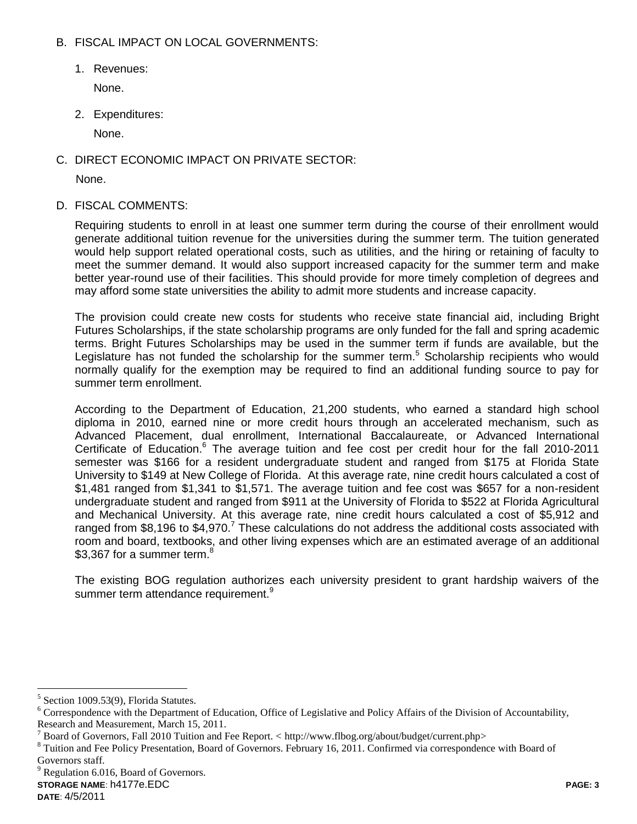## B. FISCAL IMPACT ON LOCAL GOVERNMENTS:

1. Revenues:

None.

2. Expenditures:

None.

C. DIRECT ECONOMIC IMPACT ON PRIVATE SECTOR:

None.

D. FISCAL COMMENTS:

Requiring students to enroll in at least one summer term during the course of their enrollment would generate additional tuition revenue for the universities during the summer term. The tuition generated would help support related operational costs, such as utilities, and the hiring or retaining of faculty to meet the summer demand. It would also support increased capacity for the summer term and make better year-round use of their facilities. This should provide for more timely completion of degrees and may afford some state universities the ability to admit more students and increase capacity.

The provision could create new costs for students who receive state financial aid, including Bright Futures Scholarships, if the state scholarship programs are only funded for the fall and spring academic terms. Bright Futures Scholarships may be used in the summer term if funds are available, but the Legislature has not funded the scholarship for the summer term.<sup>5</sup> Scholarship recipients who would normally qualify for the exemption may be required to find an additional funding source to pay for summer term enrollment.

According to the Department of Education, 21,200 students, who earned a standard high school diploma in 2010, earned nine or more credit hours through an accelerated mechanism, such as Advanced Placement, dual enrollment, International Baccalaureate, or Advanced International Certificate of Education.<sup>6</sup> The average tuition and fee cost per credit hour for the fall 2010-2011 semester was \$166 for a resident undergraduate student and ranged from \$175 at Florida State University to \$149 at New College of Florida. At this average rate, nine credit hours calculated a cost of \$1,481 ranged from \$1,341 to \$1,571. The average tuition and fee cost was \$657 for a non-resident undergraduate student and ranged from \$911 at the University of Florida to \$522 at Florida Agricultural and Mechanical University. At this average rate, nine credit hours calculated a cost of \$5,912 and ranged from \$8,196 to  $$4,970$ .<sup>7</sup> These calculations do not address the additional costs associated with room and board, textbooks, and other living expenses which are an estimated average of an additional \$3.367 for a summer term.<sup>8</sup>

The existing BOG regulation authorizes each university president to grant hardship waivers of the summer term attendance requirement.<sup>9</sup>

 $9^9$  Regulation 6.016, Board of Governors.

 $\overline{a}$ 

<sup>&</sup>lt;sup>5</sup> Section 1009.53(9), Florida Statutes.

<sup>&</sup>lt;sup>6</sup> Correspondence with the Department of Education, Office of Legislative and Policy Affairs of the Division of Accountability, Research and Measurement, March 15, 2011.

<sup>7</sup> Board of Governors, Fall 2010 Tuition and Fee Report. < http://www.flbog.org/about/budget/current.php>

 $8$  Tuition and Fee Policy Presentation, Board of Governors. February 16, 2011. Confirmed via correspondence with Board of Governors staff.